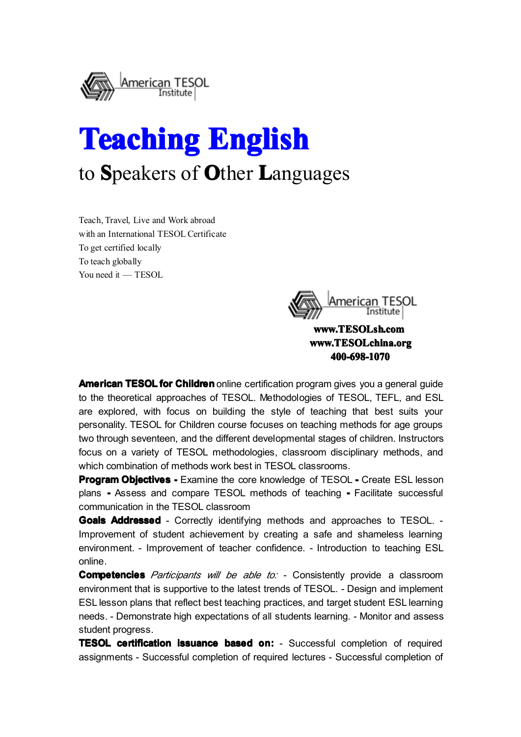

# **Teaching Teaching Teaching Teaching English English English English** to **S**peakers of **O**ther **L**anguages

Teach, Travel, Live and Work abroad with an International TESOL Certificate To ge<sup>t</sup> certified locally To teach globally You need it — TESOL



**[www.TESOLsh.com](http://www.tesolsh.com) www.TESOLsh.com www.TESOLchina.org www.TESOLchina.orgwww.TESOLchina.org 400-698-1070 400-698-1070 400-698-1070400-698-1070**

**American TESOL for Children** online certification program gives you a general guide to the theoretical approaches of TESOL. Methodologies of TESOL, TEFL, and ESL are explored, with focus on building the style of teaching that best suits your personality. TESOL for Children course focuses on teaching methods for age groups two through seventeen, and the different developmental stages of children. Instructors focus on <sup>a</sup> variety of TESOL methodologies, classroom disciplinary methods, and which combination of methods work best in TESOL classrooms.

**Program Objectives -** Examine the core knowledge of TESOL - Create ESL lesson plans **-** Assess and compare TESOL methods of teaching **-** Facilitate successful communication in the TESOL classroom

**Goals Addressed Addressed** - Correctly identifying methods and approaches to TESOL. - Improvement of student achievement by creating <sup>a</sup> safe and shameless learning environment. - Improvement of teacher confidence. - Introduction to teaching ESL online.

**Competencies** Participants will be able to: - Consistently provide a classroom environment that is supportive to the latest trends of TESOL. - Design and implement ESL lesson plans that reflect best teaching practices, and target student ESL learning needs. - Demonstrate high expectations of all students learning. - Monitor and assess student progress.

**TESOL certification issuance based on:** - Successful completion of required assignments - Successful completion of required lectures - Successful completion of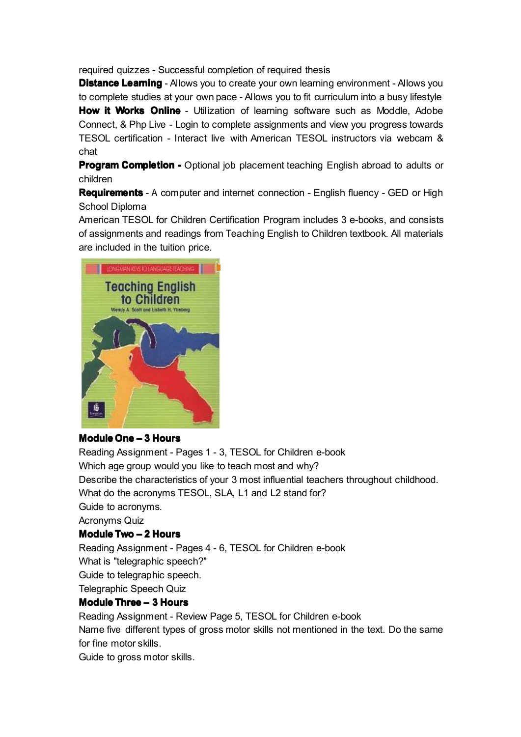required quizzes - Successful completion of required thesis

**Distance Learning** - Allows you to create your own learning environment - Allows you to complete studies at your own pace - Allows you to fit curriculum into <sup>a</sup> busy lifestyle **How it Works Online** - Utilization of learning software such as Moddle, Adobe Connect, &Php Live - Login to complete assignments and view you progress towards TESOL certification - Interact live with American TESOL instructors via webcam & chat

**Program Completion -** Optional job placement teaching English abroad to adults or children

**Requirements** - A computer and internet connection - English fluency - GED or High School Diploma

American TESOL for Children Certification Program includes 3 e-books, and consists of assignments and readings from Teaching English to Children textbook. All materials are included in the tuition price.



# **Module One – 3 Hours**

Reading Assignment - Pages 1 - 3, TESOL for Children e-book Which age group would you like to teach most and why? Describe the characteristics of your 3 most influential teachers throughout childhood. What do the acronyms TESOL, SLA, L1 and L2 stand for? Guide to acronyms. Acronyms Quiz **Module Two – 2 Hours** Reading Assignment - Pages 4 - 6, TESOL for Children e-book What is "telegraphic speech?" Guide to telegraphic speech.

Telegraphic Speech Quiz

# **Module Three – 3 Hours**

Reading Assignment - Review Page 5, TESOL for Children e-book Name five different types of gross motor skills not mentioned in the text. Do the same for fine motor skills.

Guide to gross motor skills.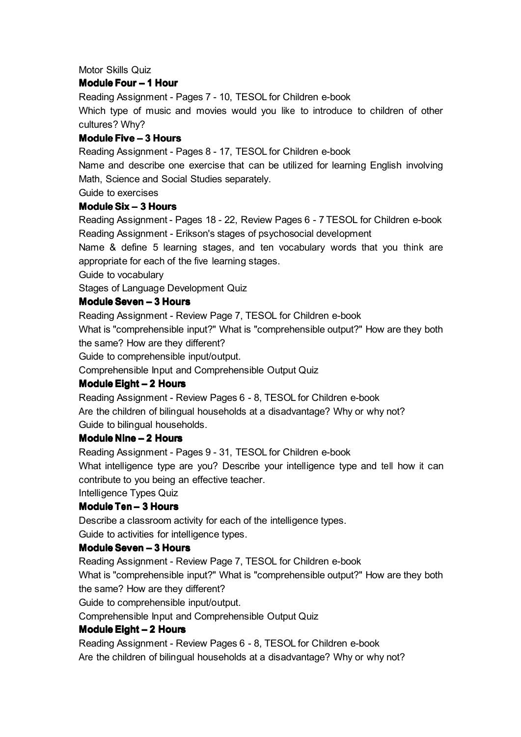Motor Skills Quiz

# **Module Four – 1 Hour**

Reading Assignment - Pages 7 - 10, TESOL for Children e-book Which type of music and movies would you like to introduce to children of other cultures? Why?

# **Module Five – 3 Hours**

Reading Assignment - Pages 8 - 17, TESOL for Children e-book

Name and describe one exercise that can be utilized for learning English involving Math, Science and Social Studies separately.

Guide to exercises

# **Module Six – 3 Hours**

Reading Assignment - Pages 18 - 22, Review Pages 6 - 7 TESOL for Children e-book Reading Assignment - Erikson's stages of psychosocial development

Name & define 5 learning stages, and ten vocabulary words that you think are appropriate for each of the five learning stages.

Guide to vocabulary

Stages of Language Development Quiz

# **Module Seven – 3 Hours**

Reading Assignment - Review Page 7, TESOL for Children e-book

What is "comprehensible input?" What is "comprehensible output?" How are they both the same? How are they different?

Guide to comprehensible input/output.

Comprehensible Input and Comprehensible Output Quiz

# **Module Eight – 2 Hours**

Reading Assignment - Review Pages 6 - 8, TESOL for Children e-book Are the children of bilingual households at a disadvantage? Why or why not? Guide to bilingual households.

# **Module Nine – 2 Hours**

Reading Assignment - Pages 9 - 31, TESOL for Children e-book What intelligence type are you? Describe your intelligence type and tell how it can contribute to you being an effective teacher.

Intelligence Types Quiz

# **Module Ten – 3 Hours**

Describe <sup>a</sup> classroom activity for each of the intelligence types. Guide to activities for intelligence types.

# **Module Seven – 3 Hours**

Reading Assignment - Review Page 7, TESOL for Children e-book

What is "comprehensible input?" What is "comprehensible output?" How are they both the same? How are they different?

Guide to comprehensible input/output.

Comprehensible Input and Comprehensible Output Quiz

# **Module Eight – 2 Hours**

Reading Assignment - Review Pages 6 - 8, TESOL for Children e-book Are the children of bilingual households at a disadvantage? Why or why not?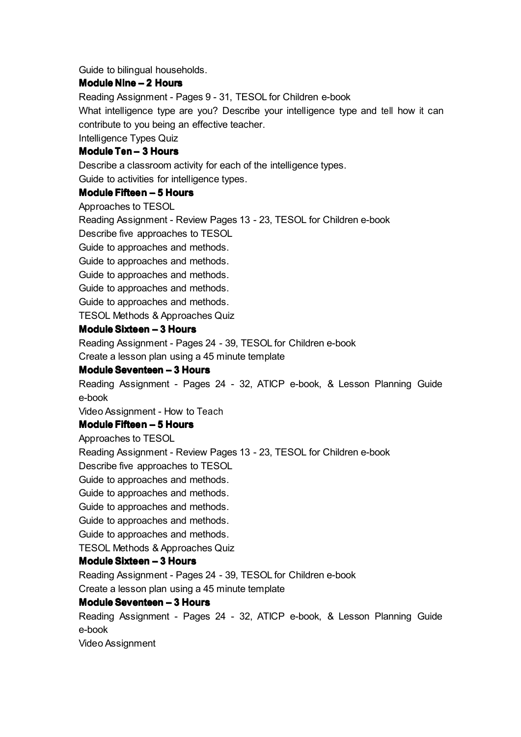Guide to bilingual households.

# **Module Nine – 2 Hours**

Reading Assignment - Pages 9 - 31, TESOL for Children e-book

What intelligence type are you? Describe your intelligence type and tell how it can contribute to you being an effective teacher.

Intelligence Types Quiz

# **Module Ten – 3 Hours**

Describe <sup>a</sup> classroom activity for each of the intelligence types.

Guide to activities for intelligence types.

#### **Module Fifteen Fifteen– 5 Hours**

Approaches to TESOL

Reading Assignment - Review Pages 13 - 23, TESOL for Children e-book

Describe five approaches to TESOL

Guide to approaches and methods.

Guide to approaches and methods.

Guide to approaches and methods.

Guide to approaches and methods.

Guide to approaches and methods.

TESOL Methods & Approaches Quiz

# **Module Sixteen – 3 Hours**

Reading Assignment - Pages 24 - 39, TESOL for Children e-book

Create <sup>a</sup> lesson plan using <sup>a</sup> 45 minute template

# **Module Seventeen – 3 Hours**

Reading Assignment - Pages 24 - 32, ATICP e-book, & Lesson Planning Guide e-book

Video Assignment - How to Teach

# **Module Fifteen – 5 Hours**

Approaches to TESOL

Reading Assignment - Review Pages 13 - 23, TESOL for Children e-book

Describe five approaches to TESOL

Guide to approaches and methods.

Guide to approaches and methods.

Guide to approaches and methods.

Guide to approaches and methods.

Guide to approaches and methods.

TESOL Methods & Approaches Quiz

# **Module Sixteen – 3 Hours**

Reading Assignment - Pages 24 - 39, TESOL for Children e-book

Create <sup>a</sup> lesson plan using <sup>a</sup> 45 minute template

# **Module Seventeen – 3 Hours**

Reading Assignment - Pages 24 - 32, ATICP e-book, & Lesson Planning Guide e-book

Video Assignment